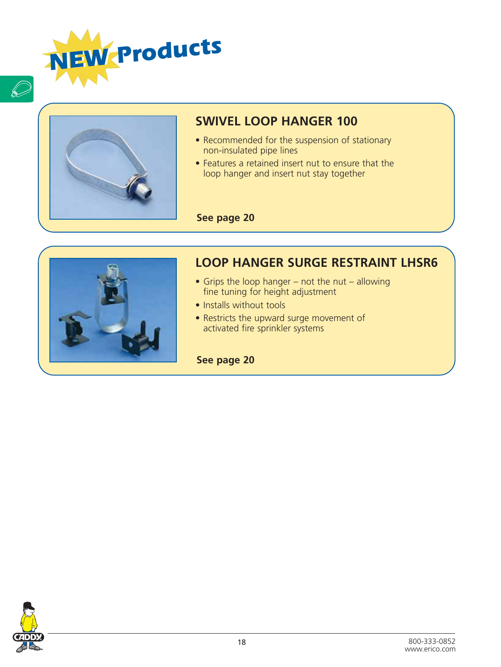



 $\overline{\mathcal{D}}$ 

## **SWIVEL LOOP HANGER 100**

- Recommended for the suspension of stationary non-insulated pipe lines
- Features a retained insert nut to ensure that the loop hanger and insert nut stay together

#### **See page 20**



### **LOOP HANGER SURGE RESTRAINT LHSR6**

- Grips the loop hanger not the nut allowing<br>
fine tuning for height adjustment<br>
 Installs without tools<br>
 Restricts the upward surge movement of<br>
activated fire sprinkler systems fine tuning for height adjustment
	- Installs without tools
	- Restricts the upward surge movement of activated fire sprinkler systems

**See page 20**

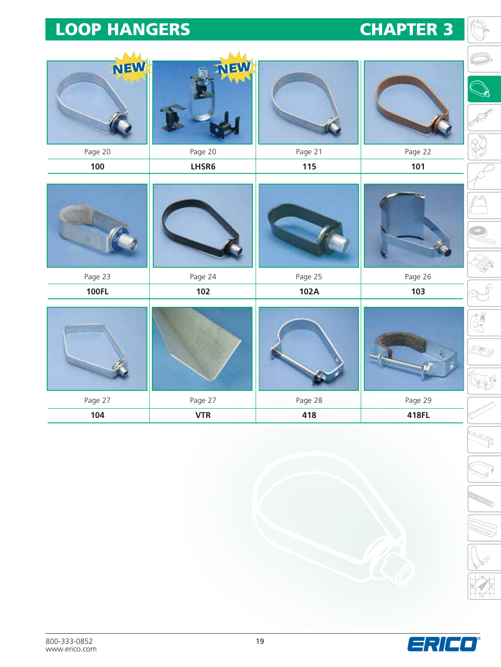# **CHAPTER 3**

| <b>NEW!</b>  | NEW!       |         |         |
|--------------|------------|---------|---------|
| Page 20      | Page 20    | Page 21 | Page 22 |
| 100          | LHSR6      | 115     | 101     |
|              |            |         |         |
| Page 23      | Page 24    | Page 25 | Page 26 |
| <b>100FL</b> | 102        | 102A    | 103     |
|              |            |         |         |
| Page 27      | Page 27    | Page 28 | Page 29 |
| 104          | <b>VTR</b> | 418     | 418FL   |

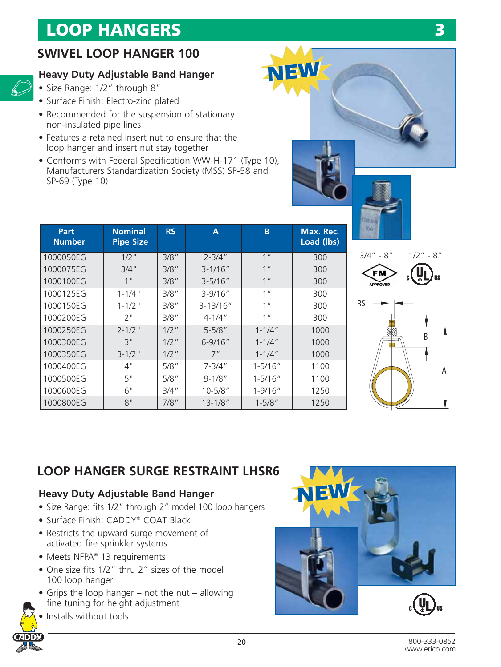### **SWIVEL LOOP HANGER 100**

#### **Heavy Duty Adjustable Band Hanger**

- Size Range: 1/2" through 8"
- Surface Finish: Electro-zinc plated
- Recommended for the suspension of stationary non-insulated pipe lines
- Features a retained insert nut to ensure that the loop hanger and insert nut stay together
- Conforms with Federal Specification WW-H-171 (Type 10), Manufacturers Standardization Society (MSS) SP-58 and SP-69 (Type 10)

| Part<br><b>Number</b> | <b>Nominal</b><br><b>Pipe Size</b> | <b>RS</b> | A            | B               | Max. Rec.<br>Load (lbs) |
|-----------------------|------------------------------------|-----------|--------------|-----------------|-------------------------|
| 1000050EG             | $1/2$ "                            | 3/8"      | $2 - 3/4"$   | 1 <sup>''</sup> | 300                     |
| 1000075EG             | $3/4$ "                            | 3/8''     | $3 - 1/16''$ | 1 <sup>''</sup> | 300                     |
| 1000100EG             | 1"                                 | 3/8''     | $3 - 5/16"$  | 1 <sup>''</sup> | 300                     |
| 1000125EG             | $1 - 1/4$ "                        | 3/8''     | $3 - 9/16''$ | 1 <sup>''</sup> | 300                     |
| 1000150EG             | $1 - 1/2$ "                        | 3/8''     | $3 - 13/16"$ | 1 <sup>''</sup> | 300                     |
| 1000200EG             | 2"                                 | 3/8"      | $4 - 1/4$ "  | 1 <sup>''</sup> | 300                     |
| 1000250EG             | $2 - 1/2$ "                        | $1/2$ "   | $5 - 5/8"$   | $1 - 1/4$ "     | 1000                    |
| 1000300EG             | 3"                                 | $1/2$ "   | $6 - 9/16''$ | $1 - 1/4$ "     | 1000                    |
| 1000350EG             | $3 - 1/2$ "                        | $1/2$ "   | 7"           | $1 - 1/4$ "     | 1000                    |
| 1000400EG             | 4"                                 | 5/8''     | $7 - 3/4"$   | $1 - 5/16"$     | 1100                    |
| 1000500EG             | 5"                                 | 5/8''     | $9 - 1/8"$   | $1 - 5/16''$    | 1100                    |
| 1000600EG             | 6"                                 | 3/4''     | $10 - 5/8"$  | $1 - 9/16"$     | 1250                    |
| 1000800EG             | 8"                                 | 7/8"      | $13 - 1/8$ " | $1 - 5/8"$      | 1250                    |



**NEW NEW**





## **LOOP HANGER SURGE RESTRAINT LHSR6**

#### **Heavy Duty Adjustable Band Hanger**

- Size Range: fits 1/2" through 2" model 100 loop hangers
- Surface Finish: CADDY® COAT Black
- Restricts the upward surge movement of activated fire sprinkler systems
- Meets NFPA® 13 requirements
- One size fits 1/2" thru 2" sizes of the model 100 loop hanger
- Grips the loop hanger not the nut allowing fine tuning for height adjustment



Installs without tools

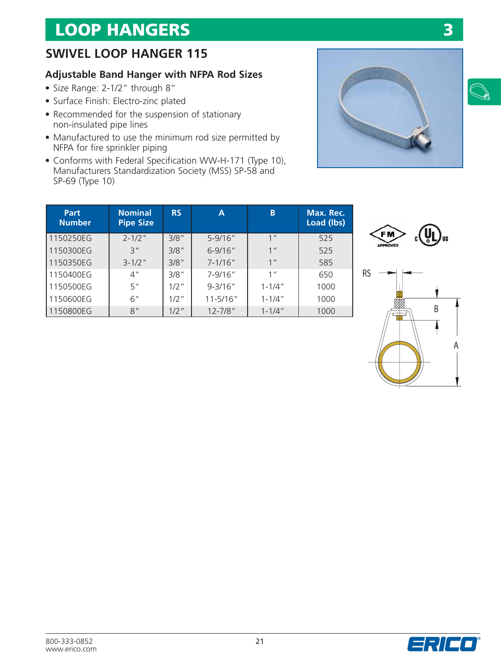## **SWIVEL LOOP HANGER 115**

### **Adjustable Band Hanger with NFPA Rod Sizes**

- Size Range: 2-1/2" through 8"
- Surface Finish: Electro-zinc plated
- Recommended for the suspension of stationary non-insulated pipe lines
- Manufactured to use the minimum rod size permitted by NFPA for fire sprinkler piping
- Conforms with Federal Specification WW-H-171 (Type 10), Manufacturers Standardization Society (MSS) SP-58 and SP-69 (Type 10)



| <b>Part</b><br><b>Number</b> | <b>Nominal</b><br><b>Pipe Size</b> | <b>RS</b> | A            | B               | Max. Rec.<br>Load (lbs) |
|------------------------------|------------------------------------|-----------|--------------|-----------------|-------------------------|
| 1150250EG                    | $2 - 1/2$ "                        | 3/8"      | $5 - 9/16''$ | 1 <sup>II</sup> | 525                     |
| 1150300EG                    | 3"                                 | 3/8"      | $6 - 9/16''$ | 1 <sup>''</sup> | 525                     |
| 1150350EG                    | $3 - 1/2$ "                        | 3/8"      | $7 - 1/16''$ | 1 <sup>II</sup> | 585                     |
| 1150400EG                    | 4"                                 | 3/8"      | $7 - 9/16''$ | 1 <sup>''</sup> | 650                     |
| 1150500EG                    | 5"                                 | $1/2$ "   | $9 - 3/16''$ | $1 - 1/4$ "     | 1000                    |
| 1150600EG                    | 6"                                 | $1/2$ "   | $11 - 5/16"$ | $1 - 1/4$ "     | 1000                    |
| 1150800EG                    | 8"                                 | $1/2$ "   | $12 - 7/8"$  | $1 - 1/4$ "     | 1000                    |





www.erico.com

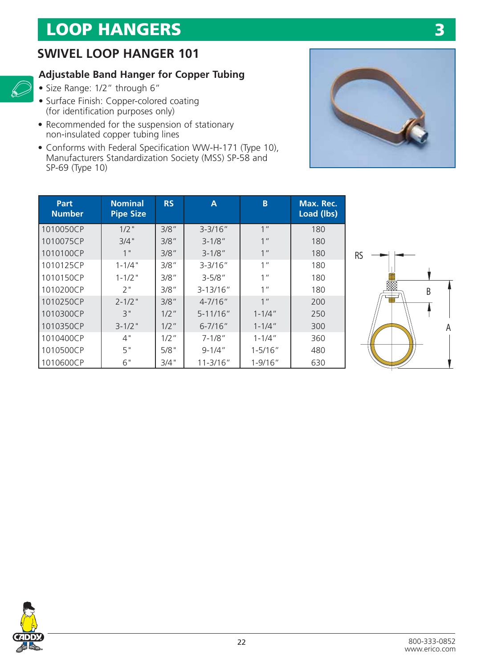### **SWIVEL LOOP HANGER 101**

#### **Adjustable Band Hanger for Copper Tubing**

• Size Range: 1/2" through 6"

 $\mathscr{D}$ 

- Surface Finish: Copper-colored coating (for identification purposes only)
- Recommended for the suspension of stationary non-insulated copper tubing lines
- Conforms with Federal Specification WW-H-171 (Type 10), Manufacturers Standardization Society (MSS) SP-58 and SP-69 (Type 10)



**3**

| Part<br><b>Number</b> | <b>Nominal</b><br><b>Pipe Size</b> | <b>RS</b> | A             | B               | Max. Rec.<br>Load (lbs) |
|-----------------------|------------------------------------|-----------|---------------|-----------------|-------------------------|
| 1010050CP             | $1/2$ "                            | 3/8''     | $3 - 3/16"$   | 1 <sup>''</sup> | 180                     |
| 1010075CP             | 3/4"                               | 3/8''     | $3 - 1/8"$    | 1 <sup>''</sup> | 180                     |
| 1010100CP             | 1"                                 | 3/8''     | $3 - 1/8"$    | 1 <sup>''</sup> | 180                     |
| 1010125CP             | $1 - 1/4$ "                        | 3/8''     | $3 - 3/16''$  | 1 <sup>''</sup> | 180                     |
| 1010150CP             | $1 - 1/2$ "                        | 3/8"      | $3 - 5/8"$    | $1$ "           | 180                     |
| 1010200CP             | 2"                                 | 3/8"      | $3 - 13/16''$ | 1 <sup>''</sup> | 180                     |
| 1010250CP             | $2 - 1/2$ "                        | 3/8"      | $4 - 7/16''$  | 1 <sup>''</sup> | 200                     |
| 1010300CP             | 3"                                 | $1/2$ "   | $5 - 11/16''$ | $1 - 1/4$ "     | 250                     |
| 1010350CP             | $3 - 1/2$ "                        | $1/2$ "   | $6 - 7/16''$  | $1 - 1/4$ "     | 300                     |
| 1010400CP             | 4"                                 | $1/2$ "   | $7 - 1/8"$    | $1 - 1/4$ "     | 360                     |
| 1010500CP             | 5"                                 | $5/8$ "   | $9 - 1/4$ "   | $1 - 5/16"$     | 480                     |
| 1010600CP             | 6"                                 | $3/4$ "   | $11 - 3/16"$  | $1 - 9/16"$     | 630                     |



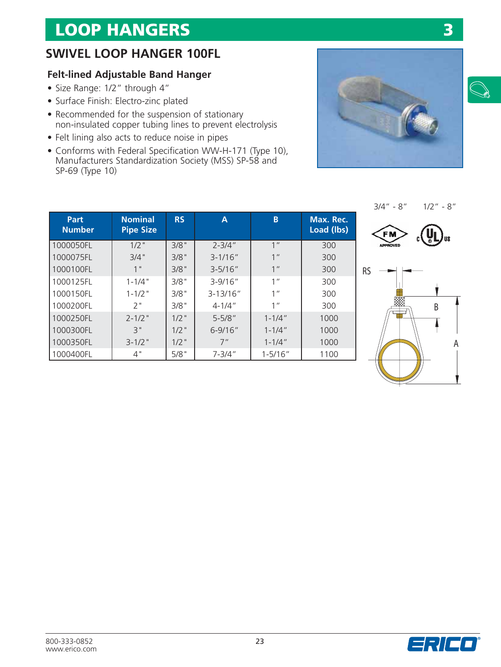## **SWIVEL LOOP HANGER 100FL**

#### **Felt-lined Adjustable Band Hanger**

- Size Range: 1/2" through 4"
- Surface Finish: Electro-zinc plated
- Recommended for the suspension of stationary non-insulated copper tubing lines to prevent electrolysis
- Felt lining also acts to reduce noise in pipes
- Conforms with Federal Specification WW-H-171 (Type 10), Manufacturers Standardization Society (MSS) SP-58 and SP-69 (Type 10)









| Part<br><b>Number</b> | <b>Nominal</b><br><b>Pipe Size</b> | <b>RS</b> | Α             | B               | Max. Rec.<br>Load (lbs) |
|-----------------------|------------------------------------|-----------|---------------|-----------------|-------------------------|
| 1000050FL             | $1/2$ "                            | 3/8"      | $2 - 3/4"$    | 1 <sup>''</sup> | 300                     |
| 1000075FL             | 3/4"                               | 3/8"      | $3 - 1/16''$  | 1 <sup>''</sup> | 300                     |
| 1000100FL             | 1"                                 | 3/8"      | $3 - 5/16''$  | 1 <sup>''</sup> | 300                     |
| 1000125FL             | $1 - 1/4$ "                        | 3/8"      | $3 - 9/16''$  | 1 <sup>''</sup> | 300                     |
| 1000150FL             | $1 - 1/2$ "                        | 3/8"      | $3 - 13/16''$ | 1 <sup>''</sup> | 300                     |
| 1000200FL             | 2"                                 | 3/8"      | $4 - 1/4$ "   | 1 <sup>''</sup> | 300                     |
| 1000250FL             | $2 - 1/2$ "                        | $1/2$ "   | $5 - 5/8"$    | $1 - 1/4$ "     | 1000                    |
| 1000300FL             | 3"                                 | $1/2$ "   | $6 - 9/16''$  | $1 - 1/4''$     | 1000                    |
| 1000350FL             | $3 - 1/2$ "                        | $1/2$ "   | 7"            | $1 - 1/4$ "     | 1000                    |
| 1000400FL             | 4"                                 | 5/8"      | $7 - 3/4''$   | $1 - 5/16''$    | 1100                    |



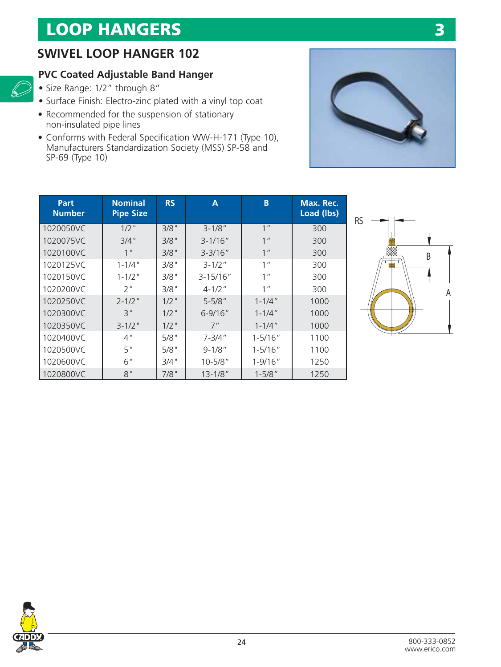### **SWIVEL LOOP HANGER 102**

#### **PVC Coated Adjustable Band Hanger**

• Size Range: 1/2" through 8"

 $\mathscr{D}$ 

- Surface Finish: Electro-zinc plated with a vinyl top coat
- Recommended for the suspension of stationary non-insulated pipe lines
- Conforms with Federal Specification WW-H-171 (Type 10), Manufacturers Standardization Society (MSS) SP-58 and SP-69 (Type 10)



| Part<br><b>Number</b> | <b>Nominal</b><br><b>Pipe Size</b> | <b>RS</b> | A             | B               | Max. Rec.<br>Load (lbs) |
|-----------------------|------------------------------------|-----------|---------------|-----------------|-------------------------|
| 1020050VC             | $1/2$ "                            | 3/8"      | $3 - 1/8"$    | 1 <sup>''</sup> | 300                     |
| 1020075VC             | 3/4"                               | 3/8"      | $3 - 1/16''$  | 1 <sup>''</sup> | 300                     |
| 1020100VC             | 1"                                 | 3/8"      | $3 - 3/16''$  | 1 <sup>''</sup> | 300                     |
| 1020125VC             | $1 - 1/4$ "                        | 3/8"      | $3 - 1/2$ "   | 1 <sup>''</sup> | 300                     |
| 1020150VC             | $1 - 1/2$ "                        | 3/8"      | $3 - 15/16''$ | 1 <sup>''</sup> | 300                     |
| 1020200VC             | 2"                                 | 3/8"      | $4 - 1/2$ "   | 1 <sup>''</sup> | 300                     |
| 1020250VC             | $2 - 1/2$ "                        | $1/2$ "   | $5 - 5/8"$    | $1 - 1/4"$      | 1000                    |
| 1020300VC             | 3"                                 | $1/2$ "   | $6 - 9/16''$  | $1 - 1/4$ "     | 1000                    |
| 1020350VC             | $3 - 1/2$ "                        | $1/2$ "   | 7"            | $1 - 1/4$ "     | 1000                    |
| 1020400VC             | 4"                                 | 5/8"      | $7 - 3/4''$   | $1 - 5/16"$     | 1100                    |
| 1020500VC             | 5"                                 | 5/8"      | $9 - 1/8"$    | $1 - 5/16''$    | 1100                    |
| 1020600VC             | 6"                                 | 3/4"      | $10 - 5/8"$   | $1 - 9/16"$     | 1250                    |
| 1020800VC             | 8"                                 | 7/8"      | $13 - 1/8"$   | $1 - 5/8"$      | 1250                    |



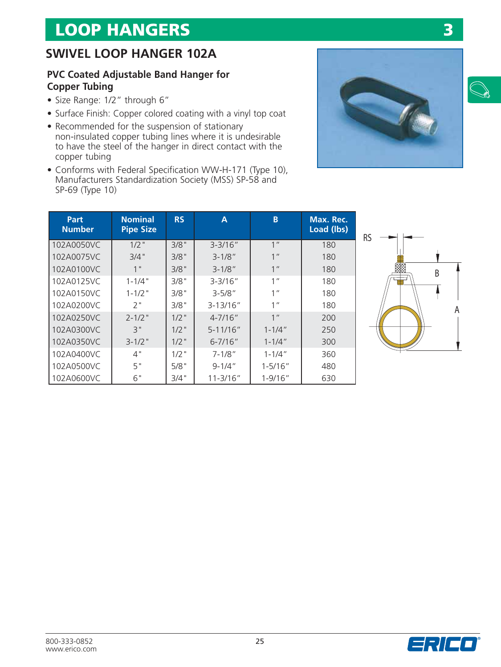### **SWIVEL LOOP HANGER 102A**

#### **PVC Coated Adjustable Band Hanger for Copper Tubing**

- Size Range: 1/2" through 6"
- Surface Finish: Copper colored coating with a vinyl top coat
- Recommended for the suspension of stationary non-insulated copper tubing lines where it is undesirable to have the steel of the hanger in direct contact with the copper tubing
- Conforms with Federal Specification WW-H-171 (Type 10), Manufacturers Standardization Society (MSS) SP-58 and SP-69 (Type 10)

| Part<br><b>Number</b> | <b>Nominal</b><br><b>Pipe Size</b> | <b>RS</b> | A             | B               | Max. Rec.<br>Load (lbs) |
|-----------------------|------------------------------------|-----------|---------------|-----------------|-------------------------|
| 102A0050VC            | $1/2$ "                            | 3/8"      | $3 - 3/16''$  | 1 <sup>''</sup> | 180                     |
| 102A0075VC            | 3/4"                               | 3/8"      | $3 - 1/8"$    | 1 <sup>II</sup> | 180                     |
| 102A0100VC            | 1 <sup>''</sup>                    | 3/8"      | $3 - 1/8"$    | 1 <sup>''</sup> | 180                     |
| 102A0125VC            | $1 - 1/4$ "                        | 3/8"      | $3 - 3/16''$  | 1 <sup>II</sup> | 180                     |
| 102A0150VC            | $1 - 1/2$ "                        | 3/8"      | $3 - 5/8"$    | 1 <sup>II</sup> | 180                     |
| 102A0200VC            | 2"                                 | 3/8"      | $3 - 13/16''$ | 1 <sup>II</sup> | 180                     |
| 102A0250VC            | $2 - 1/2$ "                        | $1/2$ "   | $4 - 7/16''$  | 1 <sup>''</sup> | 200                     |
| 102A0300VC            | 3"                                 | $1/2$ "   | $5 - 11/16''$ | $1 - 1/4$ "     | 250                     |
| 102A0350VC            | $3 - 1/2$ "                        | $1/2$ "   | $6 - 7/16''$  | $1 - 1/4$ "     | 300                     |
| 102A0400VC            | 4"                                 | $1/2$ "   | $7 - 1/8"$    | $1 - 1/4$ "     | 360                     |
| 102A0500VC            | 5"                                 | 5/8"      | $9 - 1/4$ "   | $1 - 5/16"$     | 480                     |
| 102A0600VC            | 6"                                 | 3/4"      | $11 - 3/16"$  | $1 - 9/16"$     | 630                     |





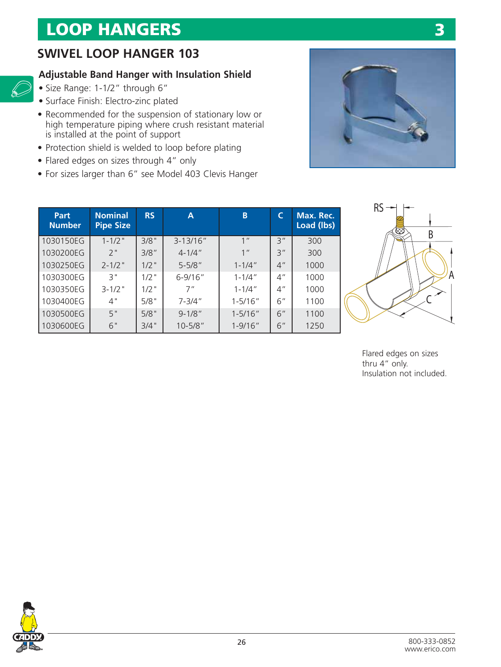## **SWIVEL LOOP HANGER 103**

### **Adjustable Band Hanger with Insulation Shield**

• Size Range: 1-1/2" through 6"

 $\mathscr{D}$ 

- Surface Finish: Electro-zinc plated
- Recommended for the suspension of stationary low or high temperature piping where crush resistant material is installed at the point of support
- Protection shield is welded to loop before plating
- Flared edges on sizes through 4" only
- For sizes larger than 6" see Model 403 Clevis Hanger



| Part<br><b>Number</b> | <b>Nominal</b><br><b>Pipe Size</b> | <b>RS</b> | A             | B               | C               | Max. Rec.<br>Load (lbs) |
|-----------------------|------------------------------------|-----------|---------------|-----------------|-----------------|-------------------------|
| 1030150EG             | $1 - 1/2$ "                        | 3/8"      | $3 - 13/16''$ | 1 <sup>''</sup> | 3"              | 300                     |
| 1030200EG             | 2"                                 | 3/8"      | $4 - 1/4$ "   | 1 <sup>''</sup> | 3''             | 300                     |
| 1030250EG             | $2 - 1/2$ "                        | $1/2$ "   | $5 - 5/8"$    | $1 - 1/4$ "     | 4 <sup>''</sup> | 1000                    |
| 1030300EG             | 3"                                 | $1/2$ "   | $6 - 9/16''$  | $1 - 1/4$ "     | 4''             | 1000                    |
| 1030350EG             | $3 - 1/2$ "                        | $1/2$ "   | 7"            | $1 - 1/4$ "     | 4''             | 1000                    |
| 1030400EG             | 4"                                 | 5/8"      | $7 - 3/4"$    | $1 - 5/16"$     | 6''             | 1100                    |
| 1030500EG             | 5"                                 | 5/8"      | $9 - 1/8"$    | $1 - 5/16"$     | 6"              | 1100                    |
| 1030600EG             | 6"                                 | 3/4"      | $10 - 5/8"$   | $1 - 9/16"$     | 6"              | 1250                    |



Flared edges on sizes thru 4" only. Insulation not included.

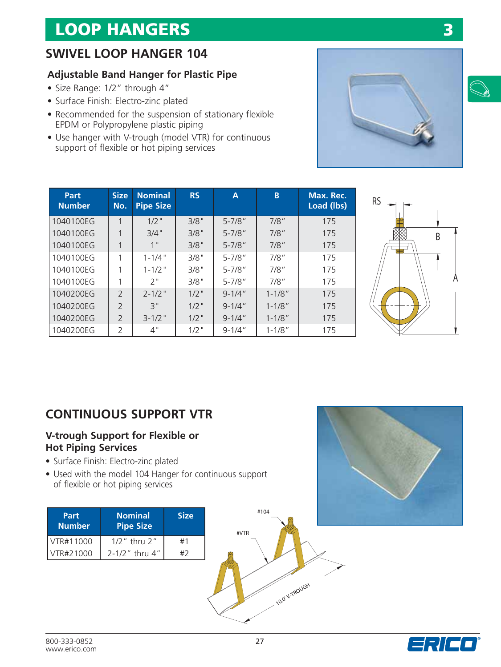## **SWIVEL LOOP HANGER 104**

#### **Adjustable Band Hanger for Plastic Pipe**

- Size Range: 1/2" through 4"
- Surface Finish: Electro-zinc plated
- Recommended for the suspension of stationary flexible EPDM or Polypropylene plastic piping
- Use hanger with V-trough (model VTR) for continuous support of flexible or hot piping services



| <b>Part</b><br><b>Number</b> | <b>Size</b><br>No. | <b>Nominal</b><br><b>Pipe Size</b> | <b>RS</b> | A           | B          | Max. Rec.<br>Load (lbs) |
|------------------------------|--------------------|------------------------------------|-----------|-------------|------------|-------------------------|
| 1040100EG                    | 1                  | $1/2$ "                            | 3/8"      | $5 - 7/8$ " | 7/8''      | 175                     |
| 1040100EG                    |                    | 3/4"                               | 3/8"      | $5 - 7/8$ " | $7/8$ "    | 175                     |
| 1040100EG                    |                    | 1"                                 | 3/8"      | $5 - 7/8"$  | $7/8$ "    | 175                     |
| 1040100EG                    |                    | $1 - 1/4$ "                        | 3/8"      | $5 - 7/8"$  | 7/8"       | 175                     |
| 1040100EG                    |                    | $1 - 1/2$ "                        | 3/8"      | $5 - 7/8"$  | 7/8''      | 175                     |
| 1040100EG                    |                    | 2"                                 | 3/8"      | $5 - 7/8"$  | 7/8"       | 175                     |
| 1040200EG                    | $\overline{2}$     | $2 - 1/2$ "                        | $1/2$ "   | $9 - 1/4$ " | $1 - 1/8"$ | 175                     |
| 1040200EG                    | $\overline{2}$     | 3"                                 | $1/2$ "   | $9 - 1/4$ " | $1 - 1/8"$ | 175                     |
| 1040200EG                    | $\overline{2}$     | $3 - 1/2$ "                        | $1/2$ "   | $9 - 1/4''$ | $1 - 1/8"$ | 175                     |
| 1040200EG                    | $\overline{2}$     | 4"                                 | $1/2$ "   | $9 - 1/4$ " | $1 - 1/8"$ | 175                     |



### **CONTINUOUS SUPPORT VTR**

#### **V-trough Support for Flexible or Hot Piping Services**

- Surface Finish: Electro-zinc plated
- Used with the model 104 Hanger for continuous support of flexible or hot piping services









**3**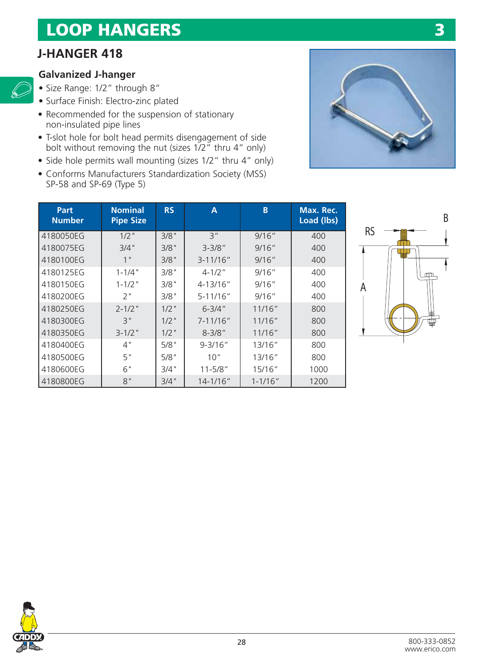## **J-HANGER 418**

#### **Galvanized J-hanger**

 $\mathscr{L}$ 

- Size Range: 1/2" through 8"
- Surface Finish: Electro-zinc plated
- Recommended for the suspension of stationary non-insulated pipe lines
- T-slot hole for bolt head permits disengagement of side bolt without removing the nut (sizes 1/2" thru 4" only)
- Side hole permits wall mounting (sizes 1/2" thru 4" only)
- Conforms Manufacturers Standardization Society (MSS) SP-58 and SP-69 (Type 5)



**3**

| Part<br><b>Number</b> | <b>Nominal</b><br><b>Pipe Size</b> | <b>RS</b> | A             | B           | Max. Rec.<br>Load (lbs) |
|-----------------------|------------------------------------|-----------|---------------|-------------|-------------------------|
| 4180050EG             | $1/2$ "                            | 3/8"      | 3''           | 9/16''      | 400                     |
| 4180075EG             | 3/4"                               | 3/8"      | $3 - 3/8"$    | 9/16''      | 400                     |
| 4180100EG             | 1 <sup>II</sup>                    | 3/8"      | $3 - 11/16"$  | 9/16''      | 400                     |
| 4180125EG             | $1 - 1/4$ "                        | 3/8"      | $4 - 1/2$ "   | 9/16''      | 400                     |
| 4180150EG             | $1 - 1/2$ "                        | 3/8"      | 4-13/16"      | 9/16''      | 400                     |
| 4180200EG             | ን "                                | 3/8"      | 5-11/16"      | 9/16''      | 400                     |
| 4180250EG             | $2 - 1/2$ "                        | $1/2$ "   | $6 - 3/4''$   | 11/16"      | 800                     |
| 4180300EG             | 3"                                 | $1/2$ "   | $7 - 11/16''$ | 11/16"      | 800                     |
| 4180350EG             | $3 - 1/2$ "                        | $1/2$ "   | $8 - 3/8"$    | 11/16"      | 800                     |
| 4180400EG             | 4"                                 | 5/8"      | $9 - 3/16''$  | 13/16''     | 800                     |
| 4180500EG             | 5"                                 | 5/8"      | 10''          | 13/16"      | 800                     |
| 4180600EG             | 6"                                 | 3/4"      | $11 - 5/8"$   | 15/16"      | 1000                    |
| 4180800EG             | 8"                                 | 3/4"      | $14 - 1/16$ " | $1 - 1/16"$ | 1200                    |